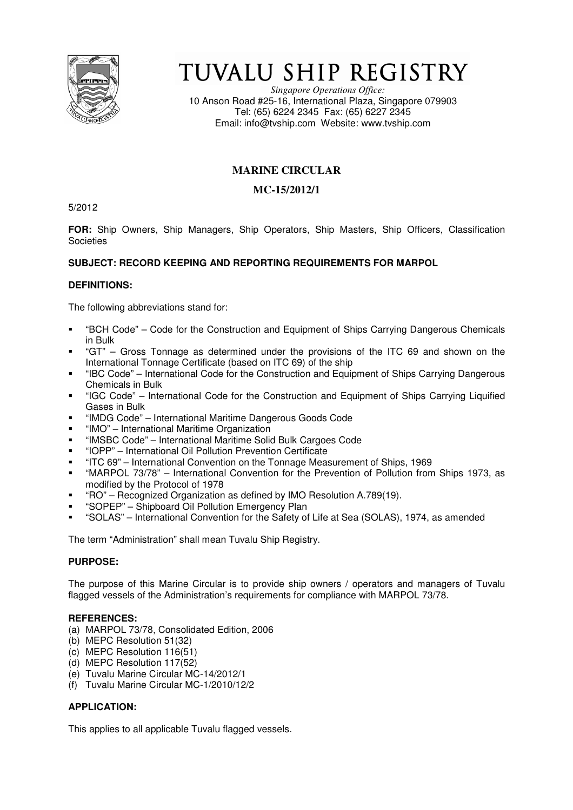

# TUVALU SHIP REGISTRY

*Singapore Operations Office:* 10 Anson Road #25-16, International Plaza, Singapore 079903 Tel: (65) 6224 2345 Fax: (65) 6227 2345 Email: info@tvship.com Website: www.tvship.com

# **MARINE CIRCULAR**

# **MC-15/2012/1**

5/2012

**FOR:** Ship Owners, Ship Managers, Ship Operators, Ship Masters, Ship Officers, Classification **Societies** 

# **SUBJECT: RECORD KEEPING AND REPORTING REQUIREMENTS FOR MARPOL**

# **DEFINITIONS:**

The following abbreviations stand for:

- "BCH Code" Code for the Construction and Equipment of Ships Carrying Dangerous Chemicals in Bulk
- "GT" Gross Tonnage as determined under the provisions of the ITC 69 and shown on the International Tonnage Certificate (based on ITC 69) of the ship
- "IBC Code" International Code for the Construction and Equipment of Ships Carrying Dangerous Chemicals in Bulk
- "IGC Code" International Code for the Construction and Equipment of Ships Carrying Liquified Gases in Bulk
- "IMDG Code" International Maritime Dangerous Goods Code
- "IMO" International Maritime Organization
- "IMSBC Code" International Maritime Solid Bulk Cargoes Code
- "IOPP" International Oil Pollution Prevention Certificate
- "ITC 69" International Convention on the Tonnage Measurement of Ships, 1969
- "MARPOL 73/78" International Convention for the Prevention of Pollution from Ships 1973, as modified by the Protocol of 1978
- "RO" Recognized Organization as defined by IMO Resolution A.789(19).
- "SOPEP" Shipboard Oil Pollution Emergency Plan
- "SOLAS" International Convention for the Safety of Life at Sea (SOLAS), 1974, as amended

The term "Administration" shall mean Tuvalu Ship Registry.

# **PURPOSE:**

The purpose of this Marine Circular is to provide ship owners / operators and managers of Tuvalu flagged vessels of the Administration's requirements for compliance with MARPOL 73/78.

## **REFERENCES:**

- (a) MARPOL 73/78, Consolidated Edition, 2006
- (b) MEPC Resolution 51(32)
- (c) MEPC Resolution 116(51)
- (d) MEPC Resolution 117(52)
- (e) Tuvalu Marine Circular MC-14/2012/1
- (f) Tuvalu Marine Circular MC-1/2010/12/2

# **APPLICATION:**

This applies to all applicable Tuvalu flagged vessels.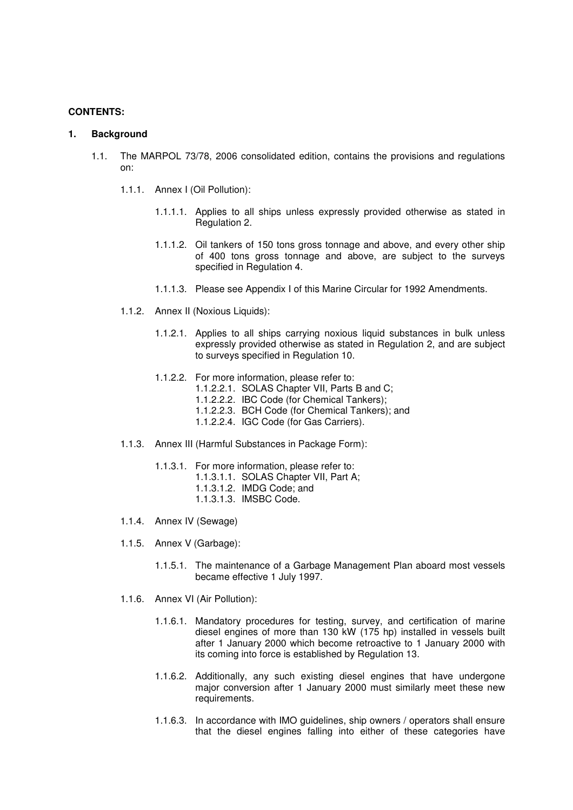#### **CONTENTS:**

#### **1. Background**

- 1.1. The MARPOL 73/78, 2006 consolidated edition, contains the provisions and regulations on:
	- 1.1.1. Annex I (Oil Pollution):
		- 1.1.1.1. Applies to all ships unless expressly provided otherwise as stated in Regulation 2.
		- 1.1.1.2. Oil tankers of 150 tons gross tonnage and above, and every other ship of 400 tons gross tonnage and above, are subject to the surveys specified in Regulation 4.
		- 1.1.1.3. Please see Appendix I of this Marine Circular for 1992 Amendments.
	- 1.1.2. Annex II (Noxious Liquids):
		- 1.1.2.1. Applies to all ships carrying noxious liquid substances in bulk unless expressly provided otherwise as stated in Regulation 2, and are subject to surveys specified in Regulation 10.
		- 1.1.2.2. For more information, please refer to:
			- 1.1.2.2.1. SOLAS Chapter VII, Parts B and C;
			- 1.1.2.2.2. IBC Code (for Chemical Tankers);
			- 1.1.2.2.3. BCH Code (for Chemical Tankers); and
			- 1.1.2.2.4. IGC Code (for Gas Carriers).
	- 1.1.3. Annex III (Harmful Substances in Package Form):
		- 1.1.3.1. For more information, please refer to:
			- 1.1.3.1.1. SOLAS Chapter VII, Part A;
				- 1.1.3.1.2. IMDG Code; and
				- 1.1.3.1.3. IMSBC Code.
	- 1.1.4. Annex IV (Sewage)
	- 1.1.5. Annex V (Garbage):
		- 1.1.5.1. The maintenance of a Garbage Management Plan aboard most vessels became effective 1 July 1997.
	- 1.1.6. Annex VI (Air Pollution):
		- 1.1.6.1. Mandatory procedures for testing, survey, and certification of marine diesel engines of more than 130 kW (175 hp) installed in vessels built after 1 January 2000 which become retroactive to 1 January 2000 with its coming into force is established by Regulation 13.
		- 1.1.6.2. Additionally, any such existing diesel engines that have undergone major conversion after 1 January 2000 must similarly meet these new requirements.
		- 1.1.6.3. In accordance with IMO guidelines, ship owners / operators shall ensure that the diesel engines falling into either of these categories have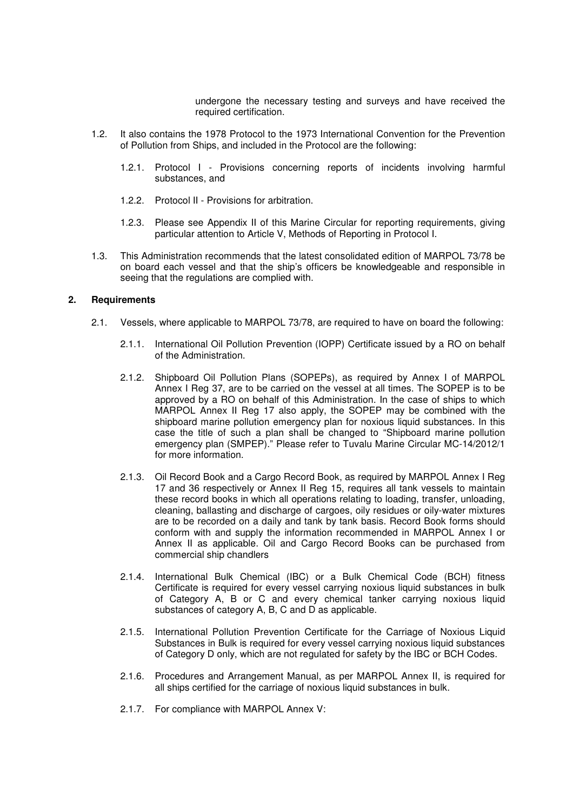undergone the necessary testing and surveys and have received the required certification.

- 1.2. It also contains the 1978 Protocol to the 1973 International Convention for the Prevention of Pollution from Ships, and included in the Protocol are the following:
	- 1.2.1. Protocol I Provisions concerning reports of incidents involving harmful substances, and
	- 1.2.2. Protocol II Provisions for arbitration.
	- 1.2.3. Please see Appendix II of this Marine Circular for reporting requirements, giving particular attention to Article V, Methods of Reporting in Protocol I.
- 1.3. This Administration recommends that the latest consolidated edition of MARPOL 73/78 be on board each vessel and that the ship's officers be knowledgeable and responsible in seeing that the regulations are complied with.

### **2. Requirements**

- 2.1. Vessels, where applicable to MARPOL 73/78, are required to have on board the following:
	- 2.1.1. International Oil Pollution Prevention (IOPP) Certificate issued by a RO on behalf of the Administration.
	- 2.1.2. Shipboard Oil Pollution Plans (SOPEPs), as required by Annex I of MARPOL Annex I Reg 37, are to be carried on the vessel at all times. The SOPEP is to be approved by a RO on behalf of this Administration. In the case of ships to which MARPOL Annex II Reg 17 also apply, the SOPEP may be combined with the shipboard marine pollution emergency plan for noxious liquid substances. In this case the title of such a plan shall be changed to "Shipboard marine pollution emergency plan (SMPEP)." Please refer to Tuvalu Marine Circular MC-14/2012/1 for more information.
	- 2.1.3. Oil Record Book and a Cargo Record Book, as required by MARPOL Annex I Reg 17 and 36 respectively or Annex II Reg 15, requires all tank vessels to maintain these record books in which all operations relating to loading, transfer, unloading, cleaning, ballasting and discharge of cargoes, oily residues or oily-water mixtures are to be recorded on a daily and tank by tank basis. Record Book forms should conform with and supply the information recommended in MARPOL Annex I or Annex II as applicable. Oil and Cargo Record Books can be purchased from commercial ship chandlers
	- 2.1.4. International Bulk Chemical (IBC) or a Bulk Chemical Code (BCH) fitness Certificate is required for every vessel carrying noxious liquid substances in bulk of Category A, B or C and every chemical tanker carrying noxious liquid substances of category A, B, C and D as applicable.
	- 2.1.5. International Pollution Prevention Certificate for the Carriage of Noxious Liquid Substances in Bulk is required for every vessel carrying noxious liquid substances of Category D only, which are not regulated for safety by the IBC or BCH Codes.
	- 2.1.6. Procedures and Arrangement Manual, as per MARPOL Annex II, is required for all ships certified for the carriage of noxious liquid substances in bulk.
	- 2.1.7. For compliance with MARPOL Annex V: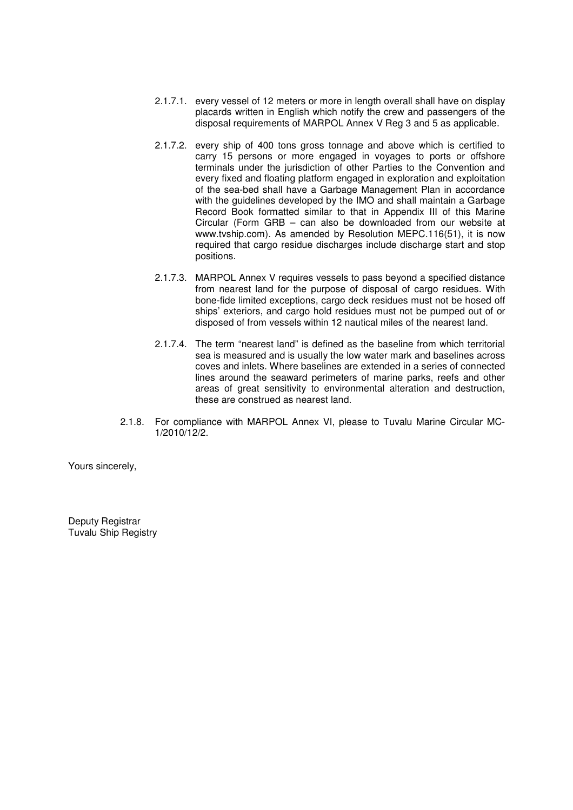- 2.1.7.1. every vessel of 12 meters or more in length overall shall have on display placards written in English which notify the crew and passengers of the disposal requirements of MARPOL Annex V Reg 3 and 5 as applicable.
- 2.1.7.2. every ship of 400 tons gross tonnage and above which is certified to carry 15 persons or more engaged in voyages to ports or offshore terminals under the jurisdiction of other Parties to the Convention and every fixed and floating platform engaged in exploration and exploitation of the sea-bed shall have a Garbage Management Plan in accordance with the guidelines developed by the IMO and shall maintain a Garbage Record Book formatted similar to that in Appendix III of this Marine Circular (Form GRB – can also be downloaded from our website at www.tvship.com). As amended by Resolution MEPC.116(51), it is now required that cargo residue discharges include discharge start and stop positions.
- 2.1.7.3. MARPOL Annex V requires vessels to pass beyond a specified distance from nearest land for the purpose of disposal of cargo residues. With bone-fide limited exceptions, cargo deck residues must not be hosed off ships' exteriors, and cargo hold residues must not be pumped out of or disposed of from vessels within 12 nautical miles of the nearest land.
- 2.1.7.4. The term "nearest land" is defined as the baseline from which territorial sea is measured and is usually the low water mark and baselines across coves and inlets. Where baselines are extended in a series of connected lines around the seaward perimeters of marine parks, reefs and other areas of great sensitivity to environmental alteration and destruction, these are construed as nearest land.
- 2.1.8. For compliance with MARPOL Annex VI, please to Tuvalu Marine Circular MC-1/2010/12/2.

Yours sincerely,

Deputy Registrar Tuvalu Ship Registry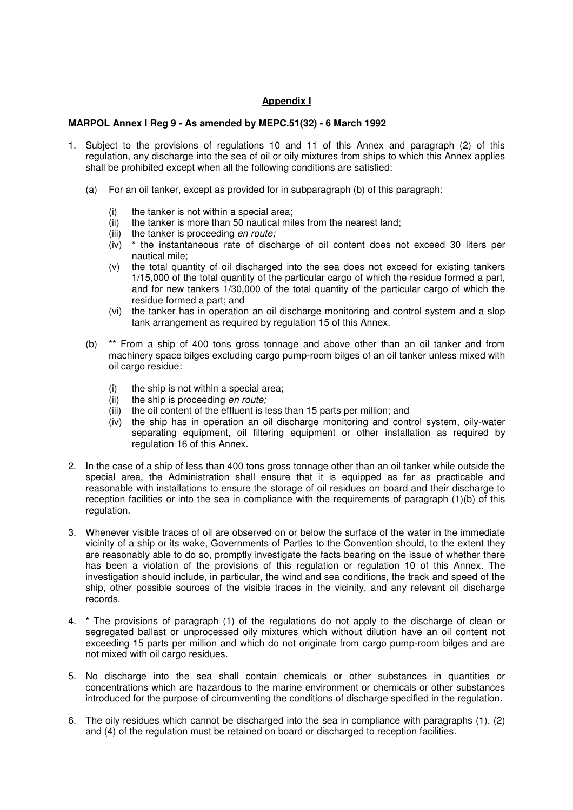## **Appendix I**

#### **MARPOL Annex I Reg 9 - As amended by MEPC.51(32) - 6 March 1992**

- 1. Subject to the provisions of regulations 10 and 11 of this Annex and paragraph (2) of this regulation, any discharge into the sea of oil or oily mixtures from ships to which this Annex applies shall be prohibited except when all the following conditions are satisfied:
	- (a) For an oil tanker, except as provided for in subparagraph (b) of this paragraph:
		- (i) the tanker is not within a special area;
		- $\overrightarrow{iii}$  the tanker is more than 50 nautical miles from the nearest land;
		- (iii) the tanker is proceeding en route;
		- (iv) \* the instantaneous rate of discharge of oil content does not exceed 30 liters per nautical mile;
		- (v) the total quantity of oil discharged into the sea does not exceed for existing tankers 1/15,000 of the total quantity of the particular cargo of which the residue formed a part, and for new tankers 1/30,000 of the total quantity of the particular cargo of which the residue formed a part; and
		- (vi) the tanker has in operation an oil discharge monitoring and control system and a slop tank arrangement as required by regulation 15 of this Annex.
	- (b) \*\* From a ship of 400 tons gross tonnage and above other than an oil tanker and from machinery space bilges excluding cargo pump-room bilges of an oil tanker unless mixed with oil cargo residue:
		- $(i)$  the ship is not within a special area;
		- (ii) the ship is proceeding *en route*;
		- (iii) the oil content of the effluent is less than 15 parts per million; and
		- (iv) the ship has in operation an oil discharge monitoring and control system, oily-water separating equipment, oil filtering equipment or other installation as required by regulation 16 of this Annex.
- 2. In the case of a ship of less than 400 tons gross tonnage other than an oil tanker while outside the special area, the Administration shall ensure that it is equipped as far as practicable and reasonable with installations to ensure the storage of oil residues on board and their discharge to reception facilities or into the sea in compliance with the requirements of paragraph (1)(b) of this regulation.
- 3. Whenever visible traces of oil are observed on or below the surface of the water in the immediate vicinity of a ship or its wake, Governments of Parties to the Convention should, to the extent they are reasonably able to do so, promptly investigate the facts bearing on the issue of whether there has been a violation of the provisions of this regulation or regulation 10 of this Annex. The investigation should include, in particular, the wind and sea conditions, the track and speed of the ship, other possible sources of the visible traces in the vicinity, and any relevant oil discharge records.
- 4. \* The provisions of paragraph (1) of the regulations do not apply to the discharge of clean or segregated ballast or unprocessed oily mixtures which without dilution have an oil content not exceeding 15 parts per million and which do not originate from cargo pump-room bilges and are not mixed with oil cargo residues.
- 5. No discharge into the sea shall contain chemicals or other substances in quantities or concentrations which are hazardous to the marine environment or chemicals or other substances introduced for the purpose of circumventing the conditions of discharge specified in the regulation.
- 6. The oily residues which cannot be discharged into the sea in compliance with paragraphs (1), (2) and (4) of the regulation must be retained on board or discharged to reception facilities.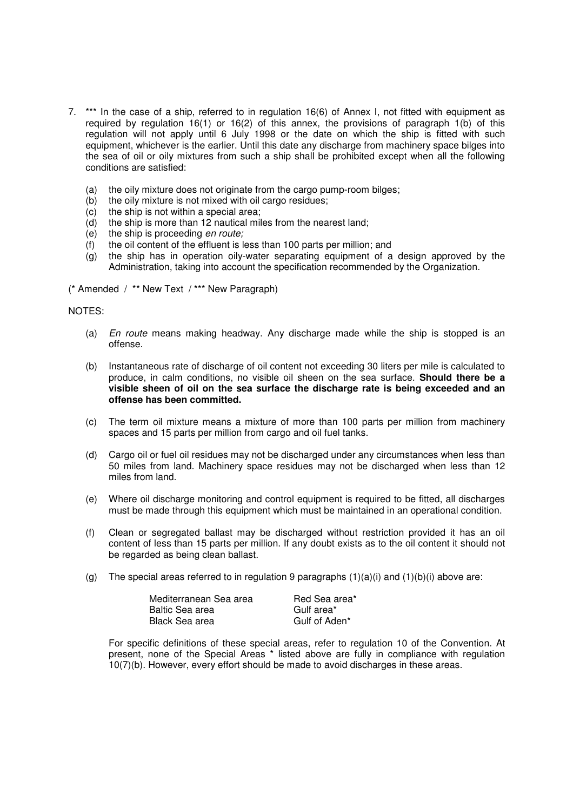- 7. \*\*\* In the case of a ship, referred to in regulation 16(6) of Annex I, not fitted with equipment as required by regulation 16(1) or 16(2) of this annex, the provisions of paragraph 1(b) of this regulation will not apply until 6 July 1998 or the date on which the ship is fitted with such equipment, whichever is the earlier. Until this date any discharge from machinery space bilges into the sea of oil or oily mixtures from such a ship shall be prohibited except when all the following conditions are satisfied:
	- (a) the oily mixture does not originate from the cargo pump-room bilges;
	- (b) the oily mixture is not mixed with oil cargo residues;
	- (c) the ship is not within a special area;
	- (d) the ship is more than 12 nautical miles from the nearest land;
	- (e) the ship is proceeding en route;
	- (f) the oil content of the effluent is less than 100 parts per million; and
	- (g) the ship has in operation oily-water separating equipment of a design approved by the Administration, taking into account the specification recommended by the Organization.

(\* Amended / \*\* New Text / \*\*\* New Paragraph)

#### NOTES:

- (a) En route means making headway. Any discharge made while the ship is stopped is an offense.
- (b) Instantaneous rate of discharge of oil content not exceeding 30 liters per mile is calculated to produce, in calm conditions, no visible oil sheen on the sea surface. **Should there be a visible sheen of oil on the sea surface the discharge rate is being exceeded and an offense has been committed.**
- (c) The term oil mixture means a mixture of more than 100 parts per million from machinery spaces and 15 parts per million from cargo and oil fuel tanks.
- (d) Cargo oil or fuel oil residues may not be discharged under any circumstances when less than 50 miles from land. Machinery space residues may not be discharged when less than 12 miles from land.
- (e) Where oil discharge monitoring and control equipment is required to be fitted, all discharges must be made through this equipment which must be maintained in an operational condition.
- (f) Clean or segregated ballast may be discharged without restriction provided it has an oil content of less than 15 parts per million. If any doubt exists as to the oil content it should not be regarded as being clean ballast.
- (g) The special areas referred to in regulation 9 paragraphs  $(1)(a)(i)$  and  $(1)(b)(i)$  above are:

| Mediterranean Sea area | Red Sea area* |
|------------------------|---------------|
| Baltic Sea area        | Gulf area*    |
| Black Sea area         | Gulf of Aden* |

For specific definitions of these special areas, refer to regulation 10 of the Convention. At present, none of the Special Areas \* listed above are fully in compliance with regulation 10(7)(b). However, every effort should be made to avoid discharges in these areas.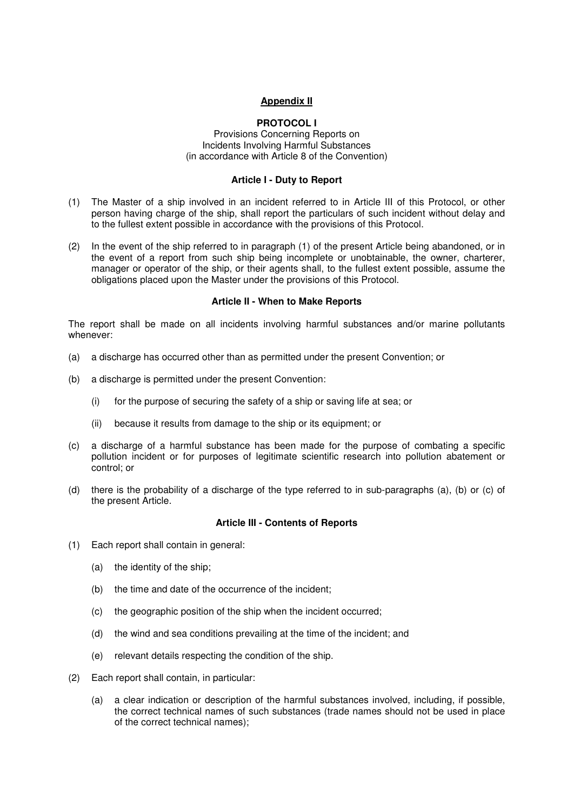## **Appendix II**

# **PROTOCOL I**

Provisions Concerning Reports on Incidents Involving Harmful Substances (in accordance with Article 8 of the Convention)

#### **Article I - Duty to Report**

- (1) The Master of a ship involved in an incident referred to in Article III of this Protocol, or other person having charge of the ship, shall report the particulars of such incident without delay and to the fullest extent possible in accordance with the provisions of this Protocol.
- (2) In the event of the ship referred to in paragraph (1) of the present Article being abandoned, or in the event of a report from such ship being incomplete or unobtainable, the owner, charterer, manager or operator of the ship, or their agents shall, to the fullest extent possible, assume the obligations placed upon the Master under the provisions of this Protocol.

#### **Article II - When to Make Reports**

The report shall be made on all incidents involving harmful substances and/or marine pollutants whenever:

- (a) a discharge has occurred other than as permitted under the present Convention; or
- (b) a discharge is permitted under the present Convention:
	- (i) for the purpose of securing the safety of a ship or saving life at sea; or
	- (ii) because it results from damage to the ship or its equipment; or
- (c) a discharge of a harmful substance has been made for the purpose of combating a specific pollution incident or for purposes of legitimate scientific research into pollution abatement or control; or
- (d) there is the probability of a discharge of the type referred to in sub-paragraphs (a), (b) or (c) of the present Article.

## **Article III - Contents of Reports**

- (1) Each report shall contain in general:
	- (a) the identity of the ship;
	- (b) the time and date of the occurrence of the incident;
	- (c) the geographic position of the ship when the incident occurred;
	- (d) the wind and sea conditions prevailing at the time of the incident; and
	- (e) relevant details respecting the condition of the ship.
- (2) Each report shall contain, in particular:
	- (a) a clear indication or description of the harmful substances involved, including, if possible, the correct technical names of such substances (trade names should not be used in place of the correct technical names);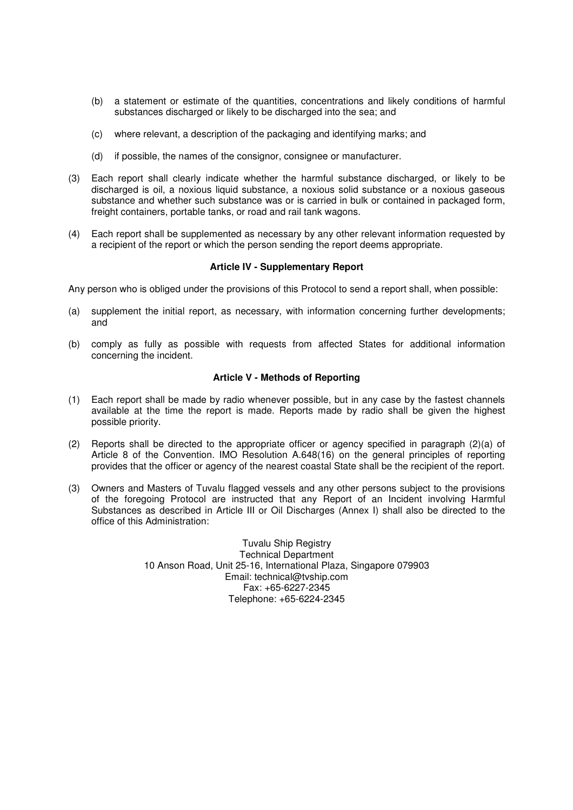- (b) a statement or estimate of the quantities, concentrations and likely conditions of harmful substances discharged or likely to be discharged into the sea; and
- (c) where relevant, a description of the packaging and identifying marks; and
- (d) if possible, the names of the consignor, consignee or manufacturer.
- (3) Each report shall clearly indicate whether the harmful substance discharged, or likely to be discharged is oil, a noxious liquid substance, a noxious solid substance or a noxious gaseous substance and whether such substance was or is carried in bulk or contained in packaged form, freight containers, portable tanks, or road and rail tank wagons.
- (4) Each report shall be supplemented as necessary by any other relevant information requested by a recipient of the report or which the person sending the report deems appropriate.

### **Article IV - Supplementary Report**

Any person who is obliged under the provisions of this Protocol to send a report shall, when possible:

- (a) supplement the initial report, as necessary, with information concerning further developments; and
- (b) comply as fully as possible with requests from affected States for additional information concerning the incident.

### **Article V - Methods of Reporting**

- (1) Each report shall be made by radio whenever possible, but in any case by the fastest channels available at the time the report is made. Reports made by radio shall be given the highest possible priority.
- (2) Reports shall be directed to the appropriate officer or agency specified in paragraph (2)(a) of Article 8 of the Convention. IMO Resolution A.648(16) on the general principles of reporting provides that the officer or agency of the nearest coastal State shall be the recipient of the report.
- (3) Owners and Masters of Tuvalu flagged vessels and any other persons subject to the provisions of the foregoing Protocol are instructed that any Report of an Incident involving Harmful Substances as described in Article III or Oil Discharges (Annex I) shall also be directed to the office of this Administration:

Tuvalu Ship Registry Technical Department 10 Anson Road, Unit 25-16, International Plaza, Singapore 079903 Email: technical@tvship.com Fax: +65-6227-2345 Telephone: +65-6224-2345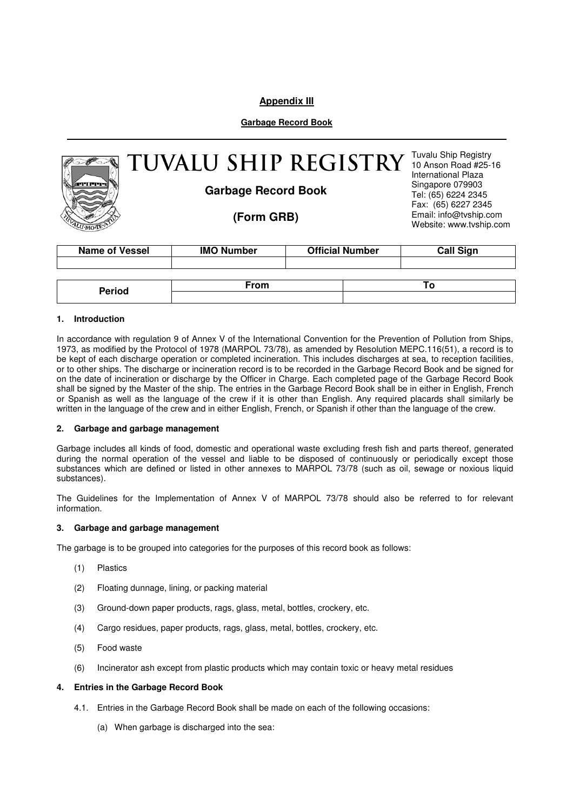## **Appendix III**

### **Garbage Record Book**

# TUVALU SHIP REGISTRY **Garbage Record Book (Form GRB)**

Tuvalu Ship Registry 10 Anson Road #25-16 International Plaza Singapore 079903 Tel: (65) 6224 2345 Fax: (65) 6227 2345 Email: info@tvship.com Website: www.tvship.com

| <b>Name of Vessel</b> | <b>IMO Number</b> | <b>Official Number</b> |  | <b>Call Sign</b> |  |  |
|-----------------------|-------------------|------------------------|--|------------------|--|--|
|                       |                   |                        |  |                  |  |  |
|                       |                   |                        |  |                  |  |  |
| Period                | From              |                        |  |                  |  |  |
|                       |                   |                        |  |                  |  |  |

#### **1. Introduction**

In accordance with regulation 9 of Annex V of the International Convention for the Prevention of Pollution from Ships, 1973, as modified by the Protocol of 1978 (MARPOL 73/78), as amended by Resolution MEPC.116(51), a record is to be kept of each discharge operation or completed incineration. This includes discharges at sea, to reception facilities, or to other ships. The discharge or incineration record is to be recorded in the Garbage Record Book and be signed for on the date of incineration or discharge by the Officer in Charge. Each completed page of the Garbage Record Book shall be signed by the Master of the ship. The entries in the Garbage Record Book shall be in either in English, French or Spanish as well as the language of the crew if it is other than English. Any required placards shall similarly be written in the language of the crew and in either English, French, or Spanish if other than the language of the crew.

#### **2. Garbage and garbage management**

Garbage includes all kinds of food, domestic and operational waste excluding fresh fish and parts thereof, generated during the normal operation of the vessel and liable to be disposed of continuously or periodically except those substances which are defined or listed in other annexes to MARPOL 73/78 (such as oil, sewage or noxious liquid substances).

The Guidelines for the Implementation of Annex V of MARPOL 73/78 should also be referred to for relevant information.

#### **3. Garbage and garbage management**

The garbage is to be grouped into categories for the purposes of this record book as follows:

- (1) Plastics
- (2) Floating dunnage, lining, or packing material
- (3) Ground-down paper products, rags, glass, metal, bottles, crockery, etc.
- (4) Cargo residues, paper products, rags, glass, metal, bottles, crockery, etc.
- (5) Food waste
- (6) Incinerator ash except from plastic products which may contain toxic or heavy metal residues

#### **4. Entries in the Garbage Record Book**

- 4.1. Entries in the Garbage Record Book shall be made on each of the following occasions:
	- (a) When garbage is discharged into the sea: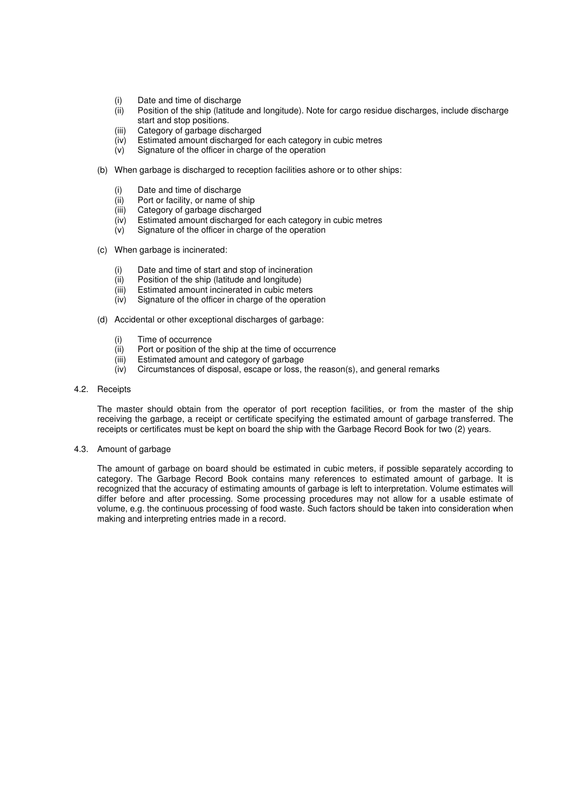- (i) Date and time of discharge<br>(ii) Position of the ship (latitude
- Position of the ship (latitude and longitude). Note for cargo residue discharges, include discharge start and stop positions.
- (iii) Category of garbage discharged
- (iv) Estimated amount discharged for each category in cubic metres
- (v) Signature of the officer in charge of the operation
- (b) When garbage is discharged to reception facilities ashore or to other ships:
	- (i) Date and time of discharge
	- (ii) Port or facility, or name of ship
	- (iii) Category of garbage discharged<br>(iv) Estimated amount discharged for
	- $(iv)$  Estimated amount discharged for each category in cubic metres  $(v)$  Signature of the officer in charge of the operation
	- Signature of the officer in charge of the operation
- (c) When garbage is incinerated:
	- Date and time of start and stop of incineration
	- (ii) Position of the ship (latitude and longitude)
	- (iii) Estimated amount incinerated in cubic meters
	- (iv) Signature of the officer in charge of the operation
- (d) Accidental or other exceptional discharges of garbage:
	- (i) Time of occurrence
	- (ii) Port or position of the ship at the time of occurrence
	- (iii) Estimated amount and category of garbage
	- (iv) Circumstances of disposal, escape or loss, the reason(s), and general remarks

#### 4.2. Receipts

The master should obtain from the operator of port reception facilities, or from the master of the ship receiving the garbage, a receipt or certificate specifying the estimated amount of garbage transferred. The receipts or certificates must be kept on board the ship with the Garbage Record Book for two (2) years.

#### 4.3. Amount of garbage

The amount of garbage on board should be estimated in cubic meters, if possible separately according to category. The Garbage Record Book contains many references to estimated amount of garbage. It is recognized that the accuracy of estimating amounts of garbage is left to interpretation. Volume estimates will differ before and after processing. Some processing procedures may not allow for a usable estimate of volume, e.g. the continuous processing of food waste. Such factors should be taken into consideration when making and interpreting entries made in a record.